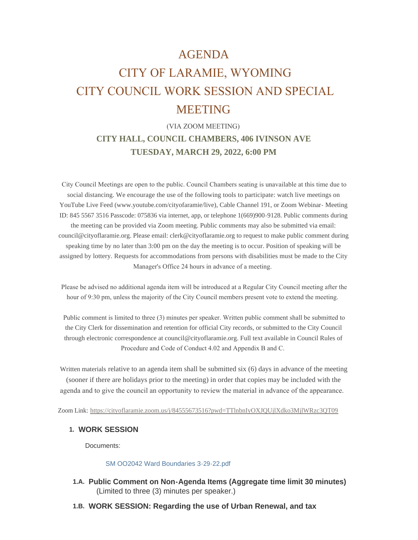## AGENDA

# CITY OF LARAMIE, WYOMING CITY COUNCIL WORK SESSION AND SPECIAL MEETING

## (VIA ZOOM MEETING) **CITY HALL, COUNCIL CHAMBERS, 406 IVINSON AVE TUESDAY, MARCH 29, 2022, 6:00 PM**

 City Council Meetings are open to the public. Council Chambers seating is unavailable at this time due to social distancing. We encourage the use of the following tools to participate: watch live meetings on YouTube Live Feed (www.youtube.com/cityofaramie/live), Cable Channel 191, or Zoom Webinar- Meeting ID: 845 5567 3516 Passcode: 075836 via internet, app, or telephone 1(669)900-9128. Public comments during the meeting can be provided via Zoom meeting. Public comments may also be submitted via email: council@cityoflaramie.org. Please email: clerk@cityoflaramie.org to request to make public comment during speaking time by no later than 3:00 pm on the day the meeting is to occur. Position of speaking will be assigned by lottery. Requests for accommodations from persons with disabilities must be made to the City Manager's Office 24 hours in advance of a meeting.

 Please be advised no additional agenda item will be introduced at a Regular City Council meeting after the hour of 9:30 pm, unless the majority of the City Council members present vote to extend the meeting.

 Public comment is limited to three (3) minutes per speaker. Written public comment shall be submitted to the City Clerk for dissemination and retention for official City records, or submitted to the City Council through electronic correspondence at council@cityoflaramie.org. Full text available in Council Rules of Procedure and Code of Conduct 4.02 and Appendix B and C.

Written materials relative to an agenda item shall be submitted six (6) days in advance of the meeting (sooner if there are holidays prior to the meeting) in order that copies may be included with the agenda and to give the council an opportunity to review the material in advance of the appearance.

Zoom Link: <https://cityoflaramie.zoom.us/j/84555673516?pwd=TTlnbnIyOXJQUjlXdko3MjlWRzc3QT09>

#### **WORK SESSION 1.**

Documents:

#### [SM OO2042 Ward Boundaries 3-29-22.pdf](https://cityoflaramie.org/AgendaCenter/ViewFile/Item/12166?fileID=16685)

- **Public Comment on Non-Agenda Items (Aggregate time limit 30 minutes) 1.A.** (Limited to three (3) minutes per speaker.)
- **WORK SESSION: Regarding the use of Urban Renewal, and tax 1.B.**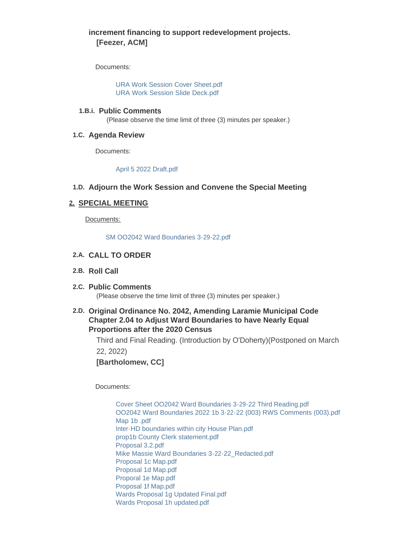### **increment financing to support redevelopment projects. [Feezer, ACM]**

**WORK SESSION: Regarding the use of Urban Renewal, and tax** 

Documents:

[URA Work Session Cover Sheet.pdf](https://cityoflaramie.org/AgendaCenter/ViewFile/Item/12101?fileID=16453) [URA Work Session Slide Deck.pdf](https://cityoflaramie.org/AgendaCenter/ViewFile/Item/12101?fileID=16454)

#### **Public Comments 1.B.i.**

(Please observe the time limit of three (3) minutes per speaker.)

#### **Agenda Review 1.C.**

Documents:

[April 5 2022 Draft.pdf](https://cityoflaramie.org/AgendaCenter/ViewFile/Item/12150?fileID=16551)

#### **Adjourn the Work Session and Convene the Special Meeting 1.D.**

#### **SPECIAL MEETING 2.**

Documents:

[SM OO2042 Ward Boundaries 3-29-22.pdf](https://cityoflaramie.org/AgendaCenter/ViewFile/Item/12108?fileID=16464)

#### **CALL TO ORDER 2.A.**

#### **Roll Call 2.B.**

#### **Public Comments 2.C.** (Please observe the time limit of three (3) minutes per speaker.)

#### **Original Ordinance No. 2042, Amending Laramie Municipal Code 2.D. Chapter 2.04 to Adjust Ward Boundaries to have Nearly Equal Proportions after the 2020 Census**

Third and Final Reading. (Introduction by O'Doherty)(Postponed on March 22, 2022)

**[Bartholomew, CC]**

Documents:

[Cover Sheet OO2042 Ward Boundaries 3-29-22 Third Reading.pdf](https://cityoflaramie.org/AgendaCenter/ViewFile/Item/12100?fileID=16455) [OO2042 Ward Boundaries 2022 1b 3-22-22 \(003\) RWS Comments \(003\).pdf](https://cityoflaramie.org/AgendaCenter/ViewFile/Item/12100?fileID=16451) [Map 1b .pdf](https://cityoflaramie.org/AgendaCenter/ViewFile/Item/12100?fileID=16450) [Inter-HD boundaries within city House Plan.pdf](https://cityoflaramie.org/AgendaCenter/ViewFile/Item/12100?fileID=16459) [prop1b County Clerk statement.pdf](https://cityoflaramie.org/AgendaCenter/ViewFile/Item/12100?fileID=16460) [Proposal 3.2.pdf](https://cityoflaramie.org/AgendaCenter/ViewFile/Item/12100?fileID=16458) [Mike Massie Ward Boundaries 3-22-22\\_Redacted.pdf](https://cityoflaramie.org/AgendaCenter/ViewFile/Item/12100?fileID=16461) [Proposal 1c Map.pdf](https://cityoflaramie.org/AgendaCenter/ViewFile/Item/12100?fileID=16562) [Proposal 1d Map.pdf](https://cityoflaramie.org/AgendaCenter/ViewFile/Item/12100?fileID=16563) [Proporal 1e Map.pdf](https://cityoflaramie.org/AgendaCenter/ViewFile/Item/12100?fileID=16456) [Proposal 1f Map.pdf](https://cityoflaramie.org/AgendaCenter/ViewFile/Item/12100?fileID=16457) [Wards Proposal 1g Updated Final.pdf](https://cityoflaramie.org/AgendaCenter/ViewFile/Item/12100?fileID=16683) [Wards Proposal 1h updated.pdf](https://cityoflaramie.org/AgendaCenter/ViewFile/Item/12100?fileID=16638)